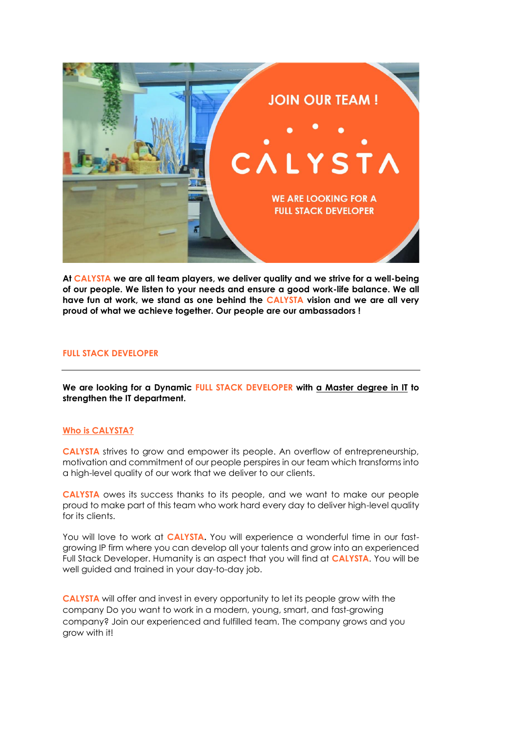

**At CALYSTA we are all team players, we deliver quality and we strive for a well-being of our people. We listen to your needs and ensure a good work-life balance. We all have fun at work, we stand as one behind the CALYSTA vision and we are all very proud of what we achieve together. Our people are our ambassadors !**

#### **FULL STACK DEVELOPER**

**We are looking for a Dynamic FULL STACK DEVELOPER with a Master degree in IT to strengthen the IT department.** 

### **Who is CALYSTA?**

**CALYSTA** strives to grow and empower its people. An overflow of entrepreneurship, motivation and commitment of our people perspires in our team which transforms into a high-level quality of our work that we deliver to our clients.

**CALYSTA** owes its success thanks to its people, and we want to make our people proud to make part of this team who work hard every day to deliver high-level quality for its clients.

You will love to work at **CALYSTA.** You will experience a wonderful time in our fastgrowing IP firm where you can develop all your talents and grow into an experienced Full Stack Developer. Humanity is an aspect that you will find at **CALYSTA**. You will be well guided and trained in your day-to-day job.

**CALYSTA** will offer and invest in every opportunity to let its people grow with the company Do you want to work in a modern, young, smart, and fast-growing company? Join our experienced and fulfilled team. The company grows and you grow with it!